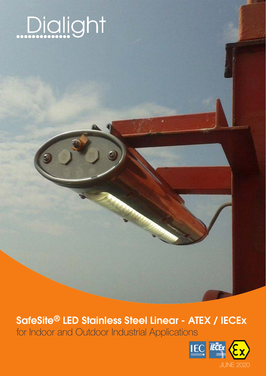

# SafeSite® LED Stainless Steel Linear - ATEX / IECEx

for Indoor and Outdoor Industrial Applications

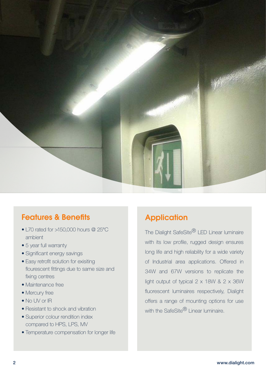

## Features & Benefits

- L70 rated for >150,000 hours @ 25°C ambient
- 5 year full warranty
- Significant energy savings
- Easy retrofit solution for exisiting flourescent fittings due to same size and fixing centres
- Maintenance free
- Mercury free
- No UV or IR
- Resistant to shock and vibration
- Superior colour rendition index compared to HPS, LPS, MV
- Temperature compensation for longer life

# **Application**

The Dialight SafeSite<sup>®</sup> LED Linear luminaire with its low profile, rugged design ensures long life and high reliability for a wide variety of Industrial area applications. Offered in 34W and 67W versions to replicate the light output of typical  $2 \times 18W$  &  $2 \times 36W$ fluorescent luminaires respectively, Dialight offers a range of mounting options for use with the SafeSite<sup>®</sup> Linear luminaire.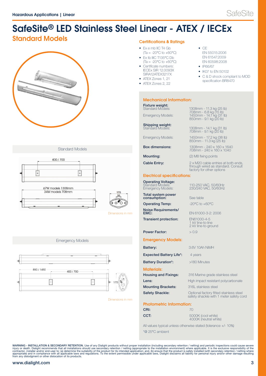# SafeSite® LED Stainless Steel Linear - ATEX / IECEx

## Standard Models **Standard Models**



### Standard Models



Dimensions in mm

Emergency Models



Dimensions in mm

- Ex e mb IIC T4 Gb  $(Ta = -20^{\circ}C \text{ to } +60^{\circ}C)$
- Ex tb IIIC T135°C Db  $(Ta = -20^{\circ}C \text{ to } +60^{\circ}C)$
- Certificate numbers: IECEx SIR 12.0093X SIRA12ATEX3217X
- ATEX Zones 1, 21
- ATEX Zones 2, 22

### Mechanical Information:

| <b>Fixture weight:</b><br>Standard Models: | 1308mm - 11.3 kg (25 lb)<br>708mm - 6.8 kg (15 lb) |
|--------------------------------------------|----------------------------------------------------|
| Emergency Models:                          | 1450mm - 14.1 kg (31 lb)<br>850mm - 9.1 kg (20 lb) |
| Chinning mainble                           |                                                    |

**Shipping weight:** Standard Models: 1308mm - 14.1 kg (31 lb)<br>708mm - 9.1 kg (20 lb)

Emergency Models: 1450mm - 17.2 kg (38 lb) 850mm - 11.3 kg (25 lb)

**Box dimensions:** 1308mm - 240 x 160 x 1640<br>708mm - 240 x 160 x 1040

**Mounting:** (2) M8 fixing points

**Cable Entry:** 2 x M20 cable entries at both ends,

### Electrical specifications:

Operating Voltage: Standard Models: 110-250 VAC, 50/60Hz Emergency Models: 230/240 VAC, 50/60Hz

**Total system power**<br>**consumption:** See table

**Operating Temp:** -20°C to +60°C

Noise Requirements/ EMC: EN 61000-3-2: 2006

**Transient protection:** EN61000-4-5<br>1 kV line-to-line<br>2 kV line-to-ground

Power Factor:  $> 0.9$ 

### Emergency Models:

| Battery:                       | 3.6V 10Ah NiMH                                                                     |
|--------------------------------|------------------------------------------------------------------------------------|
| <b>Expected Battery Life*:</b> | 4 years                                                                            |
| <b>Battery Duration*:</b>      | >180 Minutes                                                                       |
| <b>Materials:</b>              |                                                                                    |
| <b>Housing and Fixings:</b>    | 316 Marine grade stainless steel                                                   |
| Lens:                          | High impact resistant polycarbonate                                                |
| <b>Mounting Brackets:</b>      | 316 stainless steel                                                                |
| <b>Safety Shackle:</b>         | Optional factory fitted stainless steel<br>safety shackle with 1 meter safety cord |

through wired as standard. Consult factory for other options

 $\bullet$  CE

EN 55015:2006 EN 61547:2009 EN 60598:2008 • IP66/67 • IK07 to EN 50102

• C & D shock compliant to MOD specification BR8470

Photometric Information:

| CRI:                                                              | 70                                          |
|-------------------------------------------------------------------|---------------------------------------------|
| CCT:                                                              | 5000K (cool white)<br>4000K (neutral white) |
| All values typical unless otherwise stated (tolerance $+/-10\%$ ) |                                             |

\*@ 25°C ambient

WARNING - INSTALLATION & SECONDARY RETENTION. Use of any Dialight products without proper installation (including secondary retention interval) and periodic inspections could cause secondary retention in the expressival co

### www.dialight.com 3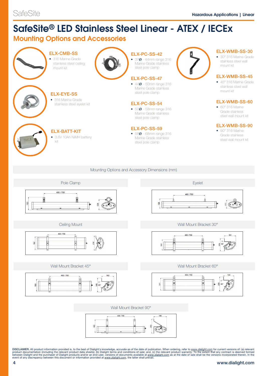# SafeSite® LED Stainless Steel Linear - ATEX / IECEx

## Mounting Options and Accessories



### Mounting Options and Accessory Dimensions (mm)





### Wall Mount Bracket 45° Wall Mount Bracket 60°





### Ceiling Mount National Ceiling Mount Bracket 30°





### Wall Mount Bracket 90°



DISCLAIMER. All product information provided is, to the best of Dialight's knowledge, accurate as of the date of publication. When ordering, refer to <u>www.dialight.com</u> for current versions of: (a) relevant product documen

### 4 www.dialight.com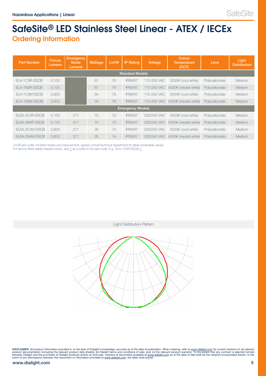# SafeSite® LED Stainless Steel Linear - ATEX / IECEx Ordering Information

| <b>Part Number</b>      | <b>Fixture</b><br>Lumens | <b>Emergency</b><br><b>Mode</b><br><b>Lumens</b> | Wattage | Lm/W | <b>IP Rating</b> | Voltage     | Colour<br><b>Temperature</b><br>(CCT) | Lens          | Light<br><b>Distribution</b> |
|-------------------------|--------------------------|--------------------------------------------------|---------|------|------------------|-------------|---------------------------------------|---------------|------------------------------|
| <b>Standard Models</b>  |                          |                                                  |         |      |                  |             |                                       |               |                              |
| FLA-1C3R-SSCB           | 5,100                    |                                                  | 67      | 76   | IP66/67          | 110-250 VAC | 5000K (cool white)                    | Polycarbonate | Medium                       |
| ELA-1N3R-SSCB           | 5,100                    |                                                  | 67      | 76   | IP66/67          | 110-250 VAC | 4000K (neutral white)                 | Polycarbonate | Medium                       |
| ELA-1C3M-SSCB           | 2,600                    |                                                  | 34      | 76   | IP66/67          | 110-250 VAC | 5000K (cool white)                    | Polycarbonate | Medium                       |
| ELA-1N3M-SSCB           | 2,600                    |                                                  | 34      | 76   | IP66/67          | 110-250 VAC | 4000K (neutral white)                 | Polycarbonate | Medium                       |
| <b>Emergency Models</b> |                          |                                                  |         |      |                  |             |                                       |               |                              |
| FLFA-2C4R-SSCB          | 5.100                    | 271                                              | 70      | 73   | IP66/67          | 230/240 VAC | 5000K (cool white)                    | Polycarbonate | Medium                       |
| ELEA-2N4R-SSCB          | 5,100                    | 271                                              | 70      | 73   | IP66/67          | 230/240 VAC | 4000K (neutral white)                 | Polycarbonate | Medium                       |
| ELEA-2C4M-SSCB          | 2,600                    | 271                                              | 35      | 74   | IP66/67          | 230/240 VAC | 5000K (cool white)                    | Polycarbonate | Medium                       |
| ELEA-2N4M-SSCB          | 2.600                    | 271                                              | 35      | 74   | IP66/67          | 230/240 VAC | 4000K (neutral white)                 | Polycarbonate | Medium                       |

 Lm/W are under constant review and improvement, please consult technical department for latest achievable values For factory fitted safety shackle option, add 1 as a suffix to the part code. E.g.: ELA-1C3R-SSCB-1

Light Distribution Pattern



DISCLAIMER. All product information provided is, to the best of Dialight's knowledge, accurate as of the date of publication. When ordering, refer to <u>www.dialight.com</u> for current versions of: (a) relevant<br>product documen